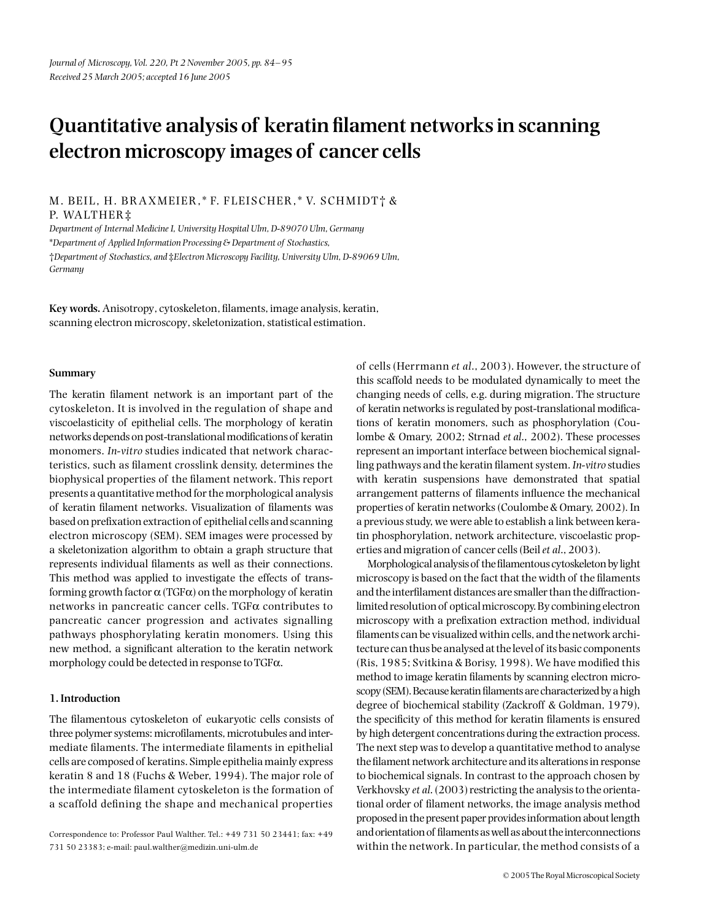# Blackwell Publishing, Ltd. **Quantitative analysis of keratin filament networks in scanning electron microscopy images of cancer cells**

M. BEIL, H. BRAXMEIER,\* F. FLEISCHER,\* V. SCHMIDT† & P. WALTHER‡

*Department of Internal Medicine I, University Hospital Ulm, D-89070 Ulm, Germany* 

\**Department of Applied Information Processing & Department of Stochastics,* 

†*Department of Stochastics, and* ‡*Electron Microscopy Facility, University Ulm, D-89069 Ulm, Germany*

**Key words.** Anisotropy, cytoskeleton, filaments, image analysis, keratin, scanning electron microscopy, skeletonization, statistical estimation.

#### **Summary**

The keratin filament network is an important part of the cytoskeleton. It is involved in the regulation of shape and viscoelasticity of epithelial cells. The morphology of keratin networks depends on post-translational modifications of keratin monomers. *In-vitro* studies indicated that network characteristics, such as filament crosslink density, determines the biophysical properties of the filament network. This report presents a quantitative method for the morphological analysis of keratin filament networks. Visualization of filaments was based on prefixation extraction of epithelial cells and scanning electron microscopy (SEM). SEM images were processed by a skeletonization algorithm to obtain a graph structure that represents individual filaments as well as their connections. This method was applied to investigate the effects of transforming growth factor  $\alpha$  (TGF $\alpha$ ) on the morphology of keratin networks in pancreatic cancer cells. TGF $\alpha$  contributes to pancreatic cancer progression and activates signalling pathways phosphorylating keratin monomers. Using this new method, a significant alteration to the keratin network morphology could be detected in response to TGFα.

# **1. Introduction**

The filamentous cytoskeleton of eukaryotic cells consists of three polymer systems: microfilaments, microtubules and intermediate filaments. The intermediate filaments in epithelial cells are composed of keratins. Simple epithelia mainly express keratin 8 and 18 (Fuchs & Weber, 1994). The major role of the intermediate filament cytoskeleton is the formation of a scaffold defining the shape and mechanical properties

Correspondence to: Professor Paul Walther. Tel.: +49 731 50 23441; fax: +49 731 50 23383; e-mail: paul.walther@medizin.uni-ulm.de

of cells (Herrmann *et al*., 2003). However, the structure of this scaffold needs to be modulated dynamically to meet the changing needs of cells, e.g. during migration. The structure of keratin networks is regulated by post-translational modifications of keratin monomers, such as phosphorylation (Coulombe & Omary, 2002; Strnad *et al*., 2002). These processes represent an important interface between biochemical signalling pathways and the keratin filament system. *In-vitro* studies with keratin suspensions have demonstrated that spatial arrangement patterns of filaments influence the mechanical properties of keratin networks (Coulombe & Omary, 2002). In a previous study, we were able to establish a link between keratin phosphorylation, network architecture, viscoelastic properties and migration of cancer cells (Beil *et al*., 2003).

Morphological analysis of the filamentous cytoskeleton by light microscopy is based on the fact that the width of the filaments and the interfilament distances are smaller than the diffractionlimited resolution of optical microscopy. By combining electron microscopy with a prefixation extraction method, individual filaments can be visualized within cells, and the network architecture can thus be analysed at the level of its basic components (Ris, 1985; Svitkina & Borisy, 1998). We have modified this method to image keratin filaments by scanning electron microscopy (SEM). Because keratin filaments are characterized by a high degree of biochemical stability (Zackroff & Goldman, 1979), the specificity of this method for keratin filaments is ensured by high detergent concentrations during the extraction process. The next step was to develop a quantitative method to analyse the filament network architecture and its alterations in response to biochemical signals. In contrast to the approach chosen by Verkhovsky *et al*. (2003) restricting the analysis to the orientational order of filament networks, the image analysis method proposed in the present paper provides information about length and orientation of filaments as well as about the interconnections within the network. In particular, the method consists of a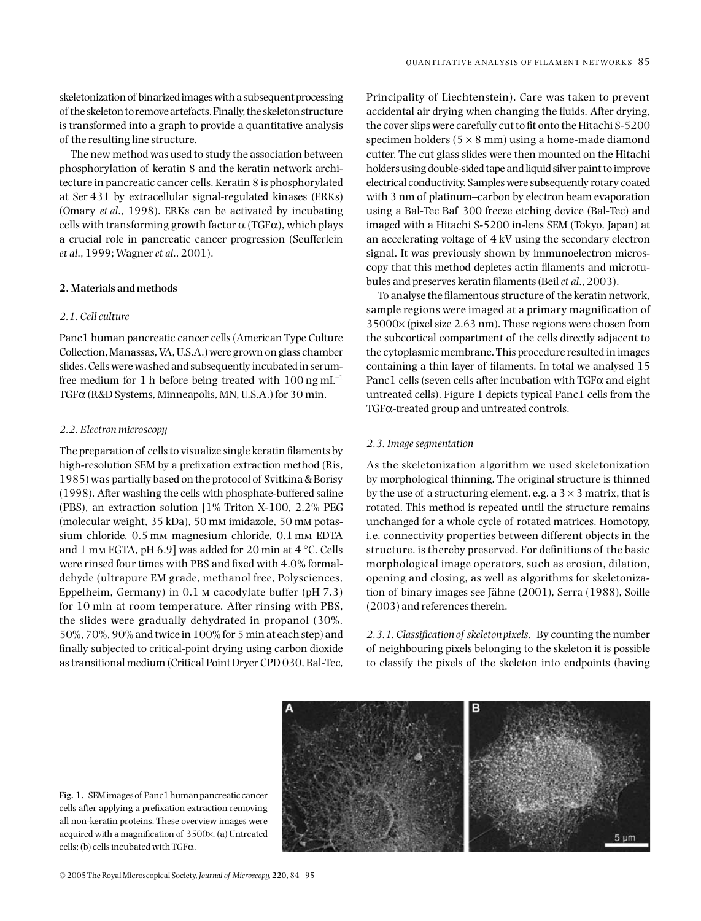skeletonization of binarized images with a subsequent processing of the skeleton to remove artefacts. Finally, the skeleton structure is transformed into a graph to provide a quantitative analysis of the resulting line structure.

The new method was used to study the association between phosphorylation of keratin 8 and the keratin network architecture in pancreatic cancer cells. Keratin 8 is phosphorylated at Ser 431 by extracellular signal-regulated kinases (ERKs) (Omary *et al*., 1998). ERKs can be activated by incubating cells with transforming growth factor  $\alpha$  (TGF $\alpha$ ), which plays a crucial role in pancreatic cancer progression (Seufferlein *et al*., 1999; Wagner *et al*., 2001).

# **2. Materials and methods**

# *2.1. Cell culture*

Panc1 human pancreatic cancer cells (American Type Culture Collection, Manassas, VA, U.S.A.) were grown on glass chamber slides. Cells were washed and subsequently incubated in serumfree medium for 1 h before being treated with 100 ng mL<sup>-1</sup> TGFα (R&D Systems, Minneapolis, MN, U.S.A.) for 30 min.

#### *2.2. Electron microscopy*

The preparation of cells to visualize single keratin filaments by high-resolution SEM by a prefixation extraction method (Ris, 1985) was partially based on the protocol of Svitkina & Borisy (1998). After washing the cells with phosphate-buffered saline (PBS), an extraction solution [1% Triton X-100, 2.2% PEG (molecular weight, 35 kDa), 50 mm imidazole, 50 mm potassium chloride, 0.5 mm magnesium chloride, 0.1 mm EDTA and 1 mm EGTA, pH 6.9] was added for 20 min at 4 °C. Cells were rinsed four times with PBS and fixed with 4.0% formaldehyde (ultrapure EM grade, methanol free, Polysciences, Eppelheim, Germany) in 0.1 m cacodylate buffer (pH 7.3) for 10 min at room temperature. After rinsing with PBS, the slides were gradually dehydrated in propanol (30%, 50%, 70%, 90% and twice in 100% for 5 min at each step) and finally subjected to critical-point drying using carbon dioxide as transitional medium (Critical Point Dryer CPD 030, Bal-Tec,

Principality of Liechtenstein). Care was taken to prevent accidental air drying when changing the fluids. After drying, the cover slips were carefully cut to fit onto the Hitachi S-5200 specimen holders  $(5 \times 8 \text{ mm})$  using a home-made diamond cutter. The cut glass slides were then mounted on the Hitachi holders using double-sided tape and liquid silver paint to improve electrical conductivity. Samples were subsequently rotary coated with 3 nm of platinum–carbon by electron beam evaporation using a Bal-Tec Baf 300 freeze etching device (Bal-Tec) and imaged with a Hitachi S-5200 in-lens SEM (Tokyo, Japan) at an accelerating voltage of 4 kV using the secondary electron signal. It was previously shown by immunoelectron microscopy that this method depletes actin filaments and microtubules and preserves keratin filaments (Beil *et al*., 2003).

To analyse the filamentous structure of the keratin network, sample regions were imaged at a primary magnification of 35000× (pixel size 2.63 nm). These regions were chosen from the subcortical compartment of the cells directly adjacent to the cytoplasmic membrane. This procedure resulted in images containing a thin layer of filaments. In total we analysed 15 Panc1 cells (seven cells after incubation with  $TGF\alpha$  and eight untreated cells). Figure 1 depicts typical Panc1 cells from the TGFα-treated group and untreated controls.

#### *2.3. Image segmentation*

As the skeletonization algorithm we used skeletonization by morphological thinning. The original structure is thinned by the use of a structuring element, e.g. a  $3 \times 3$  matrix, that is rotated. This method is repeated until the structure remains unchanged for a whole cycle of rotated matrices. Homotopy, i.e. connectivity properties between different objects in the structure, is thereby preserved. For definitions of the basic morphological image operators, such as erosion, dilation, opening and closing, as well as algorithms for skeletonization of binary images see Jähne (2001), Serra (1988), Soille (2003) and references therein.

*2.3.1. Classification of skeleton pixels*. By counting the number of neighbouring pixels belonging to the skeleton it is possible to classify the pixels of the skeleton into endpoints (having



**Fig. 1.** SEM images of Panc1 human pancreatic cancer cells after applying a prefixation extraction removing all non-keratin proteins. These overview images were acquired with a magnification of 3500×. (a) Untreated cells; (b) cells incubated with TGF $\alpha$ .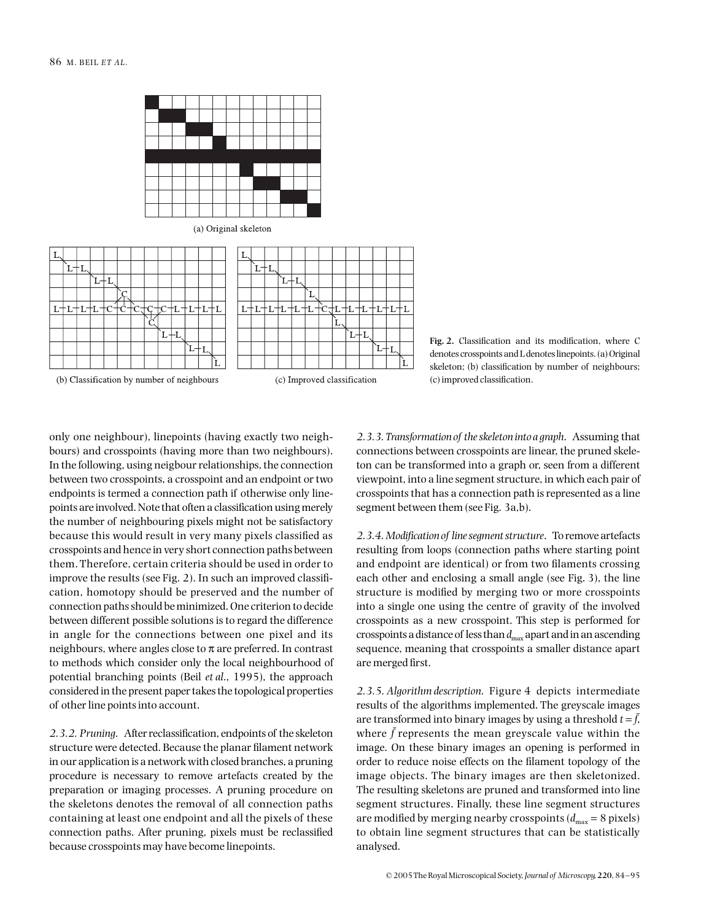

(a) Original skeleton



| <b>L+L+L+L+L-</b> |  |  |  | +L+L- |  |  |
|-------------------|--|--|--|-------|--|--|
|                   |  |  |  |       |  |  |
|                   |  |  |  |       |  |  |
|                   |  |  |  |       |  |  |
|                   |  |  |  |       |  |  |

\_\_\_\_\_\_\_\_\_\_\_\_\_\_\_\_\_\_\_\_

**Fig. 2.** Classification and its modification, where C denotes crosspoints and L denotes linepoints. (a) Original skeleton; (b) classification by number of neighbours; (c) improved classification.

(b) Classification by number of neighbours

(c) Improved classification

only one neighbour), linepoints (having exactly two neighbours) and crosspoints (having more than two neighbours). In the following, using neigbour relationships, the connection between two crosspoints, a crosspoint and an endpoint or two endpoints is termed a connection path if otherwise only linepoints are involved. Note that often a classification using merely the number of neighbouring pixels might not be satisfactory because this would result in very many pixels classified as crosspoints and hence in very short connection paths between them. Therefore, certain criteria should be used in order to improve the results (see Fig. 2). In such an improved classification, homotopy should be preserved and the number of connection paths should be minimized. One criterion to decide between different possible solutions is to regard the difference in angle for the connections between one pixel and its neighbours, where angles close to  $\pi$  are preferred. In contrast to methods which consider only the local neighbourhood of potential branching points (Beil *et al*., 1995), the approach considered in the present paper takes the topological properties of other line points into account.

*2.3.2. Pruning*. After reclassification, endpoints of the skeleton structure were detected. Because the planar filament network in our application is a network with closed branches, a pruning procedure is necessary to remove artefacts created by the preparation or imaging processes. A pruning procedure on the skeletons denotes the removal of all connection paths containing at least one endpoint and all the pixels of these connection paths. After pruning, pixels must be reclassified because crosspoints may have become linepoints.

*2.3.3. Transformation of the skeleton into a graph*. Assuming that connections between crosspoints are linear, the pruned skeleton can be transformed into a graph or, seen from a different viewpoint, into a line segment structure, in which each pair of crosspoints that has a connection path is represented as a line segment between them (see Fig. 3a,b).

*2.3.4. Modification of line segment structure*. To remove artefacts resulting from loops (connection paths where starting point and endpoint are identical) or from two filaments crossing each other and enclosing a small angle (see Fig. 3), the line structure is modified by merging two or more crosspoints into a single one using the centre of gravity of the involved crosspoints as a new crosspoint. This step is performed for crosspoints a distance of less than  $d_{\text{max}}$  apart and in an ascending sequence, meaning that crosspoints a smaller distance apart are merged first.

*2.3.5. Algorithm description*. Figure 4 depicts intermediate results of the algorithms implemented. The greyscale images are transformed into binary images by using a threshold  $t = \bar{f}$ , where  $\bar{f}$  represents the mean greyscale value within the image. On these binary images an opening is performed in order to reduce noise effects on the filament topology of the image objects. The binary images are then skeletonized. The resulting skeletons are pruned and transformed into line segment structures. Finally, these line segment structures are modified by merging nearby crosspoints  $(d_{\text{max}} = 8 \text{ pixels})$ to obtain line segment structures that can be statistically analysed.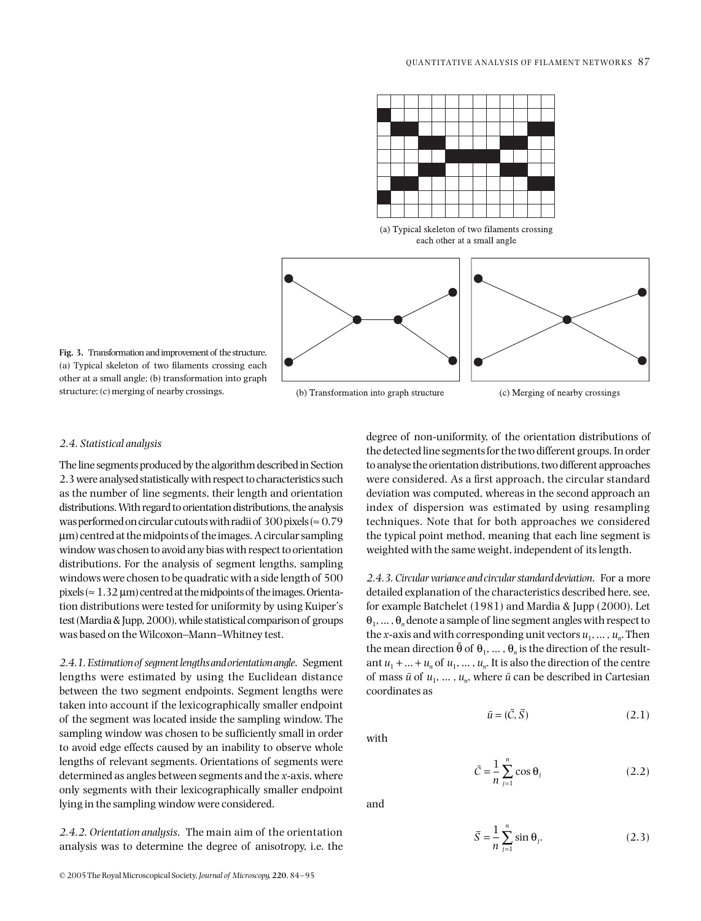

(b) Transformation into graph structure



# other at a small angle; (b) transformation into graph structure; (c) merging of nearby crossings.

**Fig. 3.** Transformation and improvement of the structure. (a) Typical skeleton of two filaments crossing each

#### *2.4. Statistical analysis*

The line segments produced by the algorithm described in Section 2.3 were analysed statistically with respect to characteristics such as the number of line segments, their length and orientation distributions. With regard to orientation distributions, the analysis was performed on circular cutouts with radii of  $300$  pixels ( $\approx 0.79$ ) µm) centred at the midpoints of the images. A circular sampling window was chosen to avoid any bias with respect to orientation distributions. For the analysis of segment lengths, sampling windows were chosen to be quadratic with a side length of 500 pixels ( $\approx 1.32 \,\mu$ m) centred at the midpoints of the images. Orientation distributions were tested for uniformity by using Kuiper's test (Mardia & Jupp, 2000), while statistical comparison of groups was based on the Wilcoxon–Mann–Whitney test.

*2.4.1. Estimation of segment lengths and orientation angle*. Segment lengths were estimated by using the Euclidean distance between the two segment endpoints. Segment lengths were taken into account if the lexicographically smaller endpoint of the segment was located inside the sampling window. The sampling window was chosen to be sufficiently small in order to avoid edge effects caused by an inability to observe whole lengths of relevant segments. Orientations of segments were determined as angles between segments and the *x*-axis, where only segments with their lexicographically smaller endpoint lying in the sampling window were considered.

*2.4.2. Orientation analysis*. The main aim of the orientation analysis was to determine the degree of anisotropy, i.e. the

degree of non-uniformity, of the orientation distributions of the detected line segments for the two different groups. In order to analyse the orientation distributions, two different approaches were considered. As a first approach, the circular standard deviation was computed, whereas in the second approach an index of dispersion was estimated by using resampling techniques. Note that for both approaches we considered the typical point method, meaning that each line segment is weighted with the same weight, independent of its length.

*2.4.3. Circular variance and circular standard deviation*. For a more detailed explanation of the characteristics described here, see, for example Batchelet (1981) and Mardia & Jupp (2000). Let  $\theta_1, \ldots, \theta_n$  denote a sample of line segment angles with respect to the *x*-axis and with corresponding unit vectors  $u_1, \ldots, u_n$ . Then the mean direction  $\bar{\theta}$  of  $\theta_1, \ldots, \theta_n$  is the direction of the resultant  $u_1 + ... + u_n$  of  $u_1, ..., u_n$ . It is also the direction of the centre of mass  $\bar{u}$  of  $u_1, \ldots, u_n$ , where  $\bar{u}$  can be described in Cartesian coordinates as

 $\bar{u} = (\bar{C}, \bar{S})$ 

with

$$
\begin{array}{c}\n1 & n\n\end{array}
$$

(2.1)

$$
\bar{C} = \frac{1}{n} \sum_{j=1}^{n} \cos \theta_j \tag{2.2}
$$

and

$$
\bar{S} = \frac{1}{n} \sum_{j=1}^{n} \sin \theta_j.
$$
 (2.3)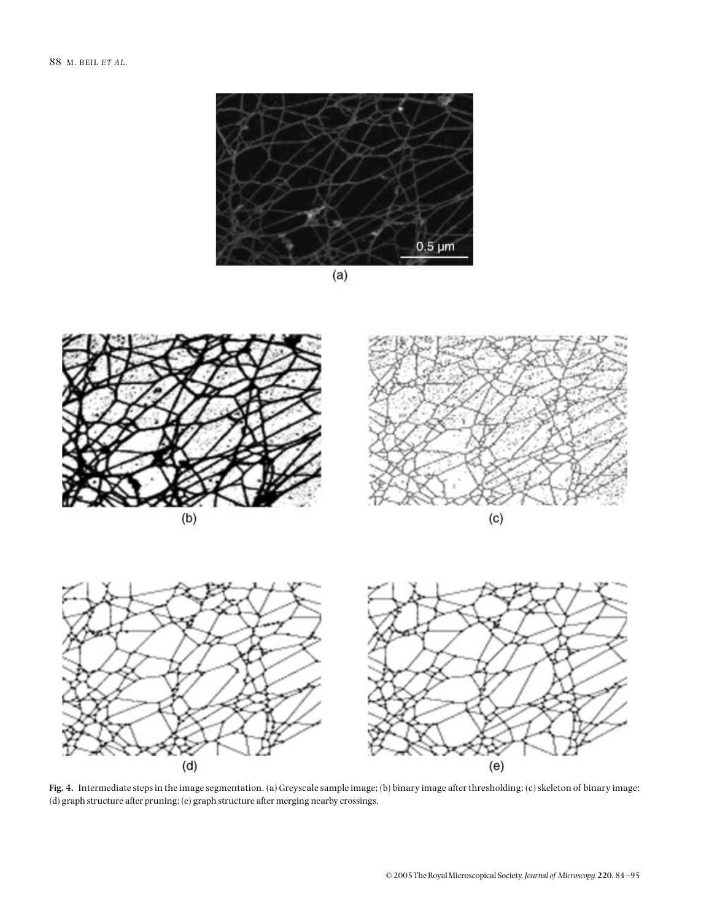

 $(a)$ 



**Fig. 4.** Intermediate steps in the image segmentation. (a) Greyscale sample image; (b) binary image after thresholding; (c) skeleton of binary image; (d) graph structure after pruning; (e) graph structure after merging nearby crossings.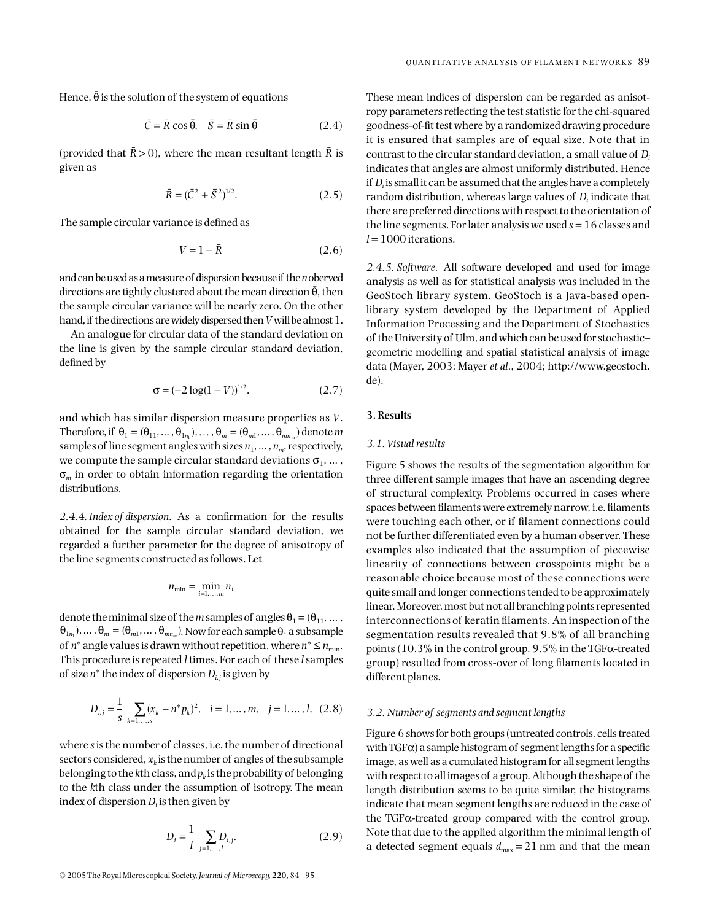Hence,  $\bar{\theta}$  is the solution of the system of equations

$$
\bar{C} = \bar{R} \cos \bar{\theta}, \quad \bar{S} = \bar{R} \sin \bar{\theta} \tag{2.4}
$$

(provided that  $\bar{R} > 0$ ), where the mean resultant length  $\bar{R}$  is given as

$$
\bar{R} = (\bar{C}^2 + \bar{S}^2)^{1/2}.
$$
 (2.5)

The sample circular variance is defined as

$$
V = 1 - \bar{R} \tag{2.6}
$$

and can be used as a measure of dispersion because if the *n*oberved directions are tightly clustered about the mean direction  $\bar{\theta}$ , then the sample circular variance will be nearly zero. On the other hand, if the directions are widely dispersed then *V*will be almost 1.

An analogue for circular data of the standard deviation on the line is given by the sample circular standard deviation, defined by

$$
\sigma = (-2\log(1-V))^{1/2}.
$$
 (2.7)

and which has similar dispersion measure properties as *V*. Therefore, if  $\theta_1 = (\theta_{11}, \dots, \theta_{1n_1}), \dots, \theta_m = (\theta_{m1}, \dots, \theta_{mn_m})$  denote m samples of line segment angles with sizes  $n_1, \ldots, n_m$ , respectively, we compute the sample circular standard deviations  $\sigma_1, \ldots$ , σ*<sup>m</sup>* in order to obtain information regarding the orientation distributions.

*2.4.4. Index of dispersion*. As a confirmation for the results obtained for the sample circular standard deviation, we regarded a further parameter for the degree of anisotropy of the line segments constructed as follows. Let

$$
n_{\min} = \min_{i=1,\dots,m} n_i
$$

denote the minimal size of the *m* samples of angles  $\theta_1 = (\theta_{11}, \dots, \theta_{n1})$  $\theta_{1n_1}, \dots, \theta_m = (\theta_{m1}, \dots, \theta_{mn_m}).$  Now for each sample  $\theta_1$  a subsample of  $n^*$  angle values is drawn without repetition, where  $n^* \leq n_{\min}$ . This procedure is repeated *l* times. For each of these *l*samples of size  $n^*$  the index of dispersion  $D_{i,j}$  is given by

$$
D_{i,j} = \frac{1}{s} \sum_{k=1,...,s} (x_k - n^* p_k)^2, \quad i = 1, ..., m, \quad j = 1, ..., l, \quad (2.8)
$$

where *s*is the number of classes, i.e. the number of directional sectors considered,  $x_k$  is the number of angles of the subsample belonging to the *k*th class, and  $p_k$  is the probability of belonging to the *k*th class under the assumption of isotropy. The mean index of dispersion *Di* is then given by

$$
D_i = \frac{1}{l} \sum_{j=1,...,l} D_{i,j}.
$$
 (2.9)

These mean indices of dispersion can be regarded as anisotropy parameters reflecting the test statistic for the chi-squared goodness-of-fit test where by a randomized drawing procedure it is ensured that samples are of equal size. Note that in contrast to the circular standard deviation, a small value of *Di* indicates that angles are almost uniformly distributed. Hence if *Di* is small it can be assumed that the angles have a completely random distribution, whereas large values of *Di* indicate that there are preferred directions with respect to the orientation of the line segments. For later analysis we used *s* = 16 classes and *l* = 1000 iterations.

*2.4.5. Software*. All software developed and used for image analysis as well as for statistical analysis was included in the GeoStoch library system. GeoStoch is a Java-based openlibrary system developed by the Department of Applied Information Processing and the Department of Stochastics of the University of Ulm, and which can be used for stochastic– geometric modelling and spatial statistical analysis of image data (Mayer, 2003; Mayer *et al*., 2004; [http://www.geostoch.](http://www.geostoch) de).

# **3. Results**

#### *3.1. Visual results*

Figure 5 shows the results of the segmentation algorithm for three different sample images that have an ascending degree of structural complexity. Problems occurred in cases where spaces between filaments were extremely narrow, i.e. filaments were touching each other, or if filament connections could not be further differentiated even by a human observer. These examples also indicated that the assumption of piecewise linearity of connections between crosspoints might be a reasonable choice because most of these connections were quite small and longer connections tended to be approximately linear. Moreover, most but not all branching points represented interconnections of keratin filaments. An inspection of the segmentation results revealed that 9.8% of all branching points (10.3% in the control group, 9.5% in the TGFα-treated group) resulted from cross-over of long filaments located in different planes.

#### *3.2. Number of segments and segment lengths*

Figure 6 shows for both groups (untreated controls, cells treated with  $TGF\alpha$ ) a sample histogram of segment lengths for a specific image, as well as a cumulated histogram for all segment lengths with respect to all images of a group. Although the shape of the length distribution seems to be quite similar, the histograms indicate that mean segment lengths are reduced in the case of the TGFα-treated group compared with the control group. Note that due to the applied algorithm the minimal length of a detected segment equals  $d_{\text{max}} = 21 \text{ nm}$  and that the mean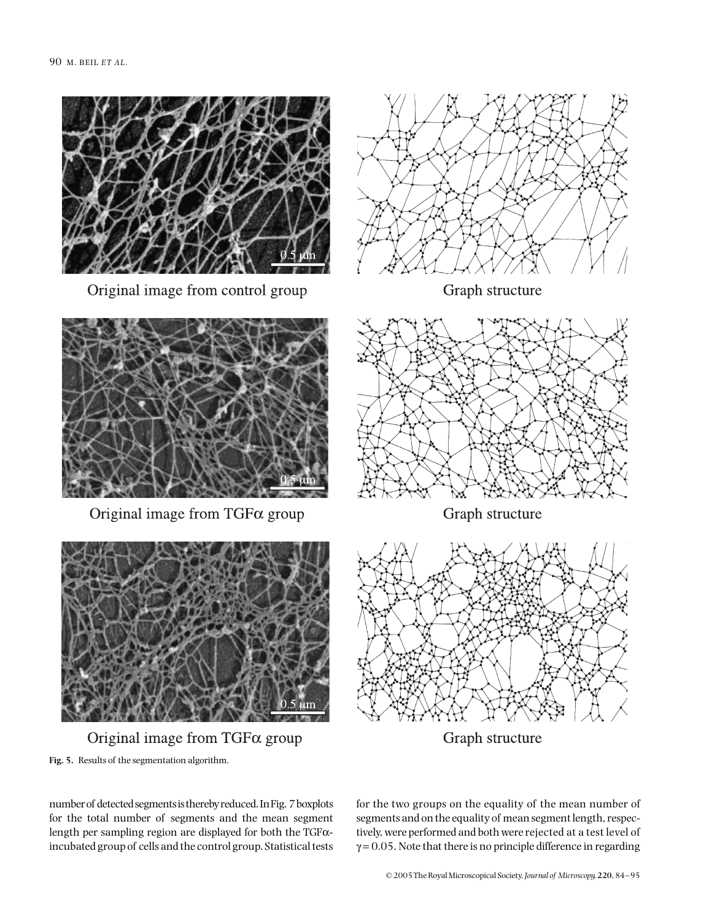

Original image from control group



Graph structure



Original image from TGF $\alpha$  group



Original image from  $TGF\alpha$  group

**Fig. 5.** Results of the segmentation algorithm.

Graph structure



Graph structure

number of detected segments is thereby reduced. In Fig. 7 boxplots for the total number of segments and the mean segment length per sampling region are displayed for both the TGFαincubated group of cells and the control group. Statistical tests

for the two groups on the equality of the mean number of segments and on the equality of mean segment length, respectively, were performed and both were rejected at a test level of  $\gamma$  = 0.05. Note that there is no principle difference in regarding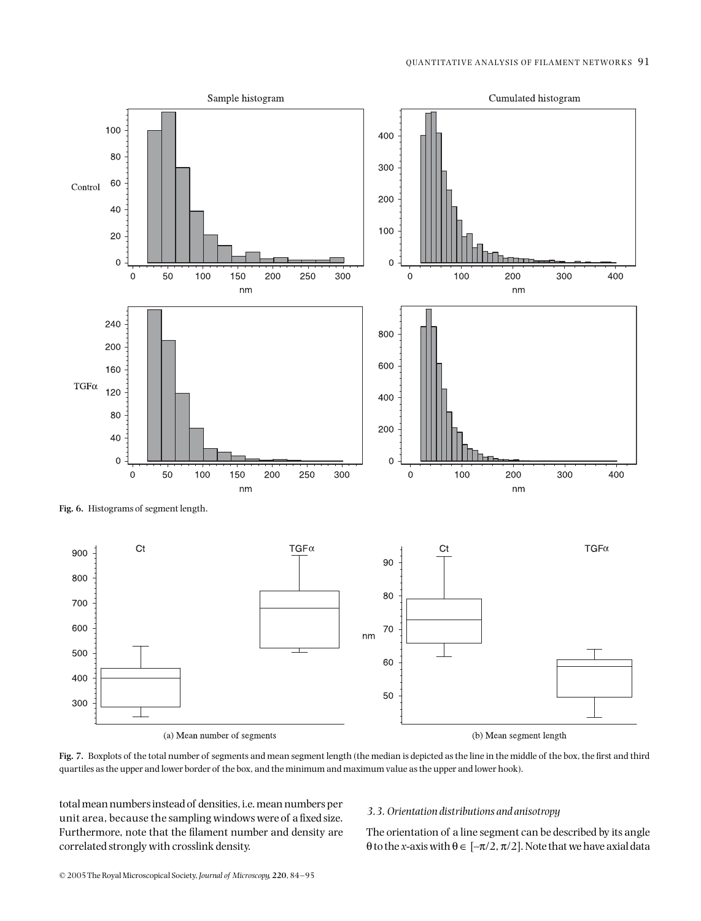

(a) Mean number of segments



**Fig. 7.** Boxplots of the total number of segments and mean segment length (the median is depicted as the line in the middle of the box, the first and third quartiles as the upper and lower border of the box, and the minimum and maximum value as the upper and lower hook).

total mean numbers instead of densities, i.e. mean numbers per unit area, because the sampling windows were of a fixed size. Furthermore, note that the filament number and density are correlated strongly with crosslink density.

# *3.3. Orientation distributions and anisotropy*

The orientation of a line segment can be described by its angle θ to the *x*-axis with  $θ ∈ [-π/2, π/2]$ . Note that we have axial data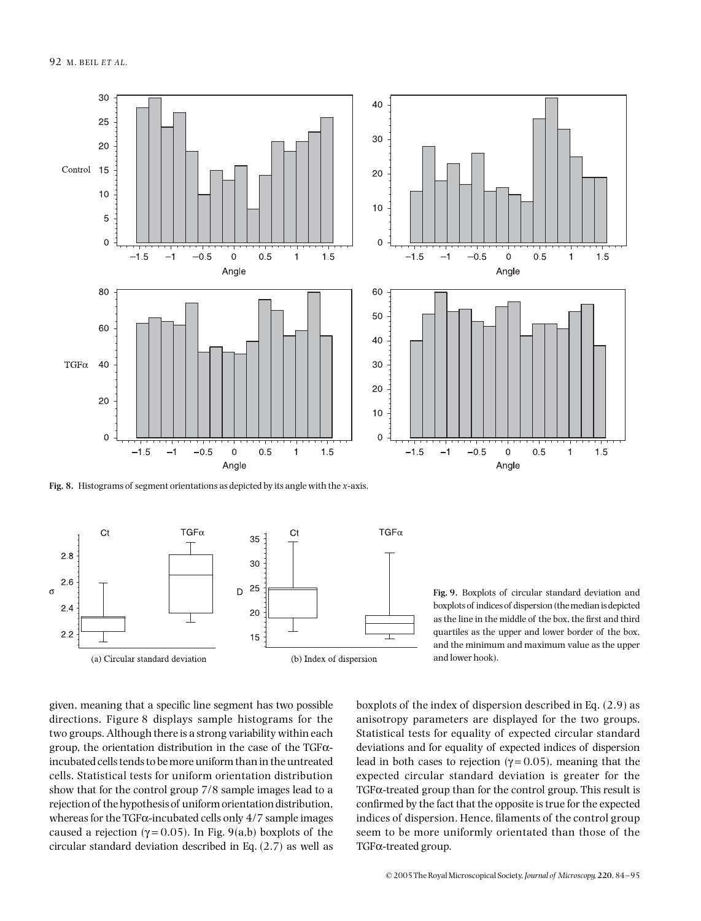

**Fig. 8.** Histograms of segment orientations as depicted by its angle with the *x*-axis.



**Fig. 9.** Boxplots of circular standard deviation and boxplots of indices of dispersion (the median is depicted as the line in the middle of the box, the first and third quartiles as the upper and lower border of the box, and the minimum and maximum value as the upper and lower hook).

given, meaning that a specific line segment has two possible directions. Figure 8 displays sample histograms for the two groups. Although there is a strong variability within each group, the orientation distribution in the case of the TGFαincubated cells tends to be more uniform than in the untreated cells. Statistical tests for uniform orientation distribution show that for the control group 7/8 sample images lead to a rejection of the hypothesis of uniform orientation distribution, whereas for the TGF $\alpha$ -incubated cells only 4/7 sample images caused a rejection ( $\gamma$  = 0.05). In Fig. 9(a,b) boxplots of the circular standard deviation described in Eq. (2.7) as well as boxplots of the index of dispersion described in Eq. (2.9) as anisotropy parameters are displayed for the two groups. Statistical tests for equality of expected circular standard deviations and for equality of expected indices of dispersion lead in both cases to rejection ( $\gamma$  = 0.05), meaning that the expected circular standard deviation is greater for the TGFα-treated group than for the control group. This result is confirmed by the fact that the opposite is true for the expected indices of dispersion. Hence, filaments of the control group seem to be more uniformly orientated than those of the TGFα-treated group.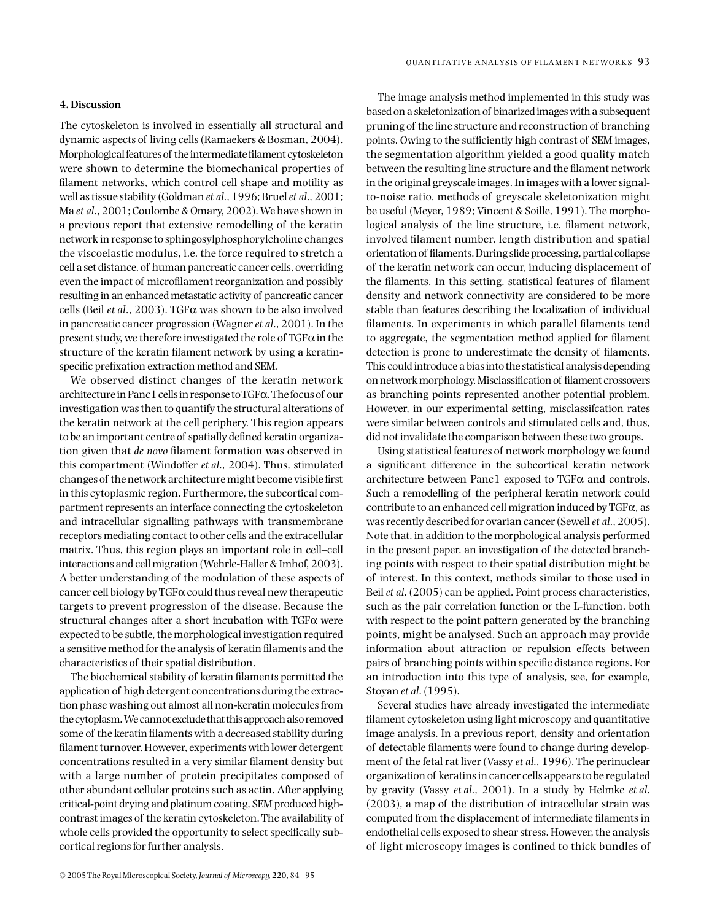# **4. Discussion**

The cytoskeleton is involved in essentially all structural and dynamic aspects of living cells (Ramaekers & Bosman, 2004). Morphological features of the intermediate filament cytoskeleton were shown to determine the biomechanical properties of filament networks, which control cell shape and motility as well as tissue stability (Goldman *et al*., 1996; Bruel *et al*., 2001; Ma *et al*., 2001; Coulombe & Omary, 2002). We have shown in a previous report that extensive remodelling of the keratin network in response to sphingosylphosphorylcholine changes the viscoelastic modulus, i.e. the force required to stretch a cell a set distance, of human pancreatic cancer cells, overriding even the impact of microfilament reorganization and possibly resulting in an enhanced metastatic activity of pancreatic cancer cells (Beil *et al*., 2003). TGFα was shown to be also involved in pancreatic cancer progression (Wagner *et al*., 2001). In the present study, we therefore investigated the role of  $TGF\alpha$  in the structure of the keratin filament network by using a keratinspecific prefixation extraction method and SEM.

We observed distinct changes of the keratin network architecture in Panc1 cells in response to TGFα. The focus of our investigation was then to quantify the structural alterations of the keratin network at the cell periphery. This region appears to be an important centre of spatially defined keratin organization given that *de novo* filament formation was observed in this compartment (Windoffer *et al*., 2004). Thus, stimulated changes of the network architecture might become visible first in this cytoplasmic region. Furthermore, the subcortical compartment represents an interface connecting the cytoskeleton and intracellular signalling pathways with transmembrane receptors mediating contact to other cells and the extracellular matrix. Thus, this region plays an important role in cell–cell interactions and cell migration (Wehrle-Haller & Imhof, 2003). A better understanding of the modulation of these aspects of cancer cell biology by TGFα could thus reveal new therapeutic targets to prevent progression of the disease. Because the structural changes after a short incubation with TGF $\alpha$  were expected to be subtle, the morphological investigation required a sensitive method for the analysis of keratin filaments and the characteristics of their spatial distribution.

The biochemical stability of keratin filaments permitted the application of high detergent concentrations during the extraction phase washing out almost all non-keratin molecules from the cytoplasm. We cannot exclude that this approach also removed some of the keratin filaments with a decreased stability during filament turnover. However, experiments with lower detergent concentrations resulted in a very similar filament density but with a large number of protein precipitates composed of other abundant cellular proteins such as actin. After applying critical-point drying and platinum coating, SEM produced highcontrast images of the keratin cytoskeleton. The availability of whole cells provided the opportunity to select specifically subcortical regions for further analysis.

The image analysis method implemented in this study was based on a skeletonization of binarized images with a subsequent pruning of the line structure and reconstruction of branching points. Owing to the sufficiently high contrast of SEM images, the segmentation algorithm yielded a good quality match between the resulting line structure and the filament network in the original greyscale images. In images with a lower signalto-noise ratio, methods of greyscale skeletonization might be useful (Meyer, 1989; Vincent & Soille, 1991). The morphological analysis of the line structure, i.e. filament network, involved filament number, length distribution and spatial orientation of filaments. During slide processing, partial collapse of the keratin network can occur, inducing displacement of the filaments. In this setting, statistical features of filament density and network connectivity are considered to be more stable than features describing the localization of individual filaments. In experiments in which parallel filaments tend to aggregate, the segmentation method applied for filament detection is prone to underestimate the density of filaments. This could introduce a bias into the statistical analysis depending on network morphology. Misclassification of filament crossovers as branching points represented another potential problem. However, in our experimental setting, misclassifcation rates were similar between controls and stimulated cells and, thus, did not invalidate the comparison between these two groups.

Using statistical features of network morphology we found a significant difference in the subcortical keratin network architecture between Panc1 exposed to  $TGF\alpha$  and controls. Such a remodelling of the peripheral keratin network could contribute to an enhanced cell migration induced by TGF $\alpha$ , as was recently described for ovarian cancer (Sewell *et al*., 2005). Note that, in addition to the morphological analysis performed in the present paper, an investigation of the detected branching points with respect to their spatial distribution might be of interest. In this context, methods similar to those used in Beil *et al*. (2005) can be applied. Point process characteristics, such as the pair correlation function or the L-function, both with respect to the point pattern generated by the branching points, might be analysed. Such an approach may provide information about attraction or repulsion effects between pairs of branching points within specific distance regions. For an introduction into this type of analysis, see, for example, Stoyan *et al*. (1995).

Several studies have already investigated the intermediate filament cytoskeleton using light microscopy and quantitative image analysis. In a previous report, density and orientation of detectable filaments were found to change during development of the fetal rat liver (Vassy *et al*., 1996). The perinuclear organization of keratins in cancer cells appears to be regulated by gravity (Vassy *et al*., 2001). In a study by Helmke *et al*. (2003), a map of the distribution of intracellular strain was computed from the displacement of intermediate filaments in endothelial cells exposed to shear stress. However, the analysis of light microscopy images is confined to thick bundles of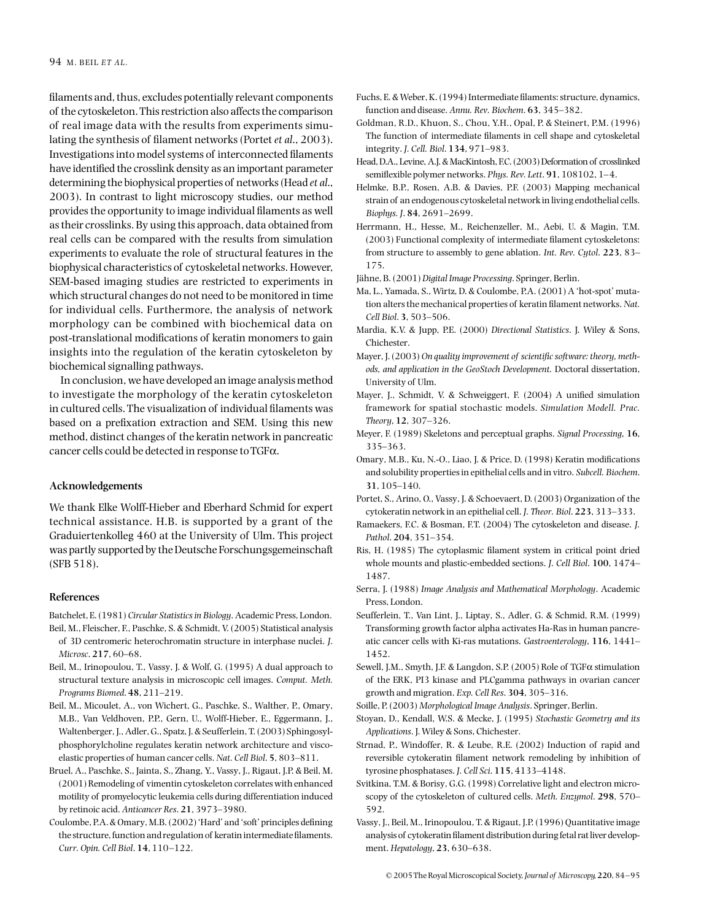filaments and, thus, excludes potentially relevant components of the cytoskeleton. This restriction also affects the comparison of real image data with the results from experiments simulating the synthesis of filament networks (Portet *et al*., 2003). Investigations into model systems of interconnected filaments have identified the crosslink density as an important parameter determining the biophysical properties of networks (Head *et al*., 2003). In contrast to light microscopy studies, our method provides the opportunity to image individual filaments as well as their crosslinks. By using this approach, data obtained from real cells can be compared with the results from simulation experiments to evaluate the role of structural features in the biophysical characteristics of cytoskeletal networks. However, SEM-based imaging studies are restricted to experiments in which structural changes do not need to be monitored in time for individual cells. Furthermore, the analysis of network morphology can be combined with biochemical data on post-translational modifications of keratin monomers to gain insights into the regulation of the keratin cytoskeleton by biochemical signalling pathways.

In conclusion, we have developed an image analysis method to investigate the morphology of the keratin cytoskeleton in cultured cells. The visualization of individual filaments was based on a prefixation extraction and SEM. Using this new method, distinct changes of the keratin network in pancreatic cancer cells could be detected in response to TGFα.

# **Acknowledgements**

We thank Elke Wolff-Hieber and Eberhard Schmid for expert technical assistance. H.B. is supported by a grant of the Graduiertenkolleg 460 at the University of Ulm. This project was partly supported by the Deutsche Forschungsgemeinschaft (SFB 518).

# **References**

- Batchelet, E. (1981) *Circular Statistics in Biology*. Academic Press, London. Beil, M., Fleischer, F., Paschke, S. & Schmidt, V. (2005) Statistical analysis
- of 3D centromeric heterochromatin structure in interphase nuclei. *J. Microsc*. **217**, 60–68.
- Beil, M., Irinopoulou, T., Vassy, J. & Wolf, G. (1995) A dual approach to structural texture analysis in microscopic cell images. *Comput. Meth. Programs Biomed*. **48**, 211–219.
- Beil, M., Micoulet, A., von Wichert, G., Paschke, S., Walther, P., Omary, M.B., Van Veldhoven, P.P., Gern, U., Wolff-Hieber, E., Eggermann, J., Waltenberger, J., Adler, G., Spatz, J. & Seufferlein, T. (2003) Sphingosylphosphorylcholine regulates keratin network architecture and viscoelastic properties of human cancer cells. *Nat. Cell Biol*. **5**, 803–811.
- Bruel, A., Paschke, S., Jainta, S., Zhang, Y., Vassy, J., Rigaut, J.P. & Beil, M. (2001) Remodeling of vimentin cytoskeleton correlates with enhanced motility of promyelocytic leukemia cells during differentiation induced by retinoic acid. *Anticancer Res*. **21**, 3973–3980.
- Coulombe, P.A. & Omary, M.B. (2002) 'Hard' and 'soft' principles defining the structure, function and regulation of keratin intermediate filaments. *Curr. Opin. Cell Biol*. **14**, 110–122.
- Fuchs, E. & Weber, K. (1994) Intermediate filaments: structure, dynamics, function and disease. *Annu. Rev. Biochem*. **63**, 345–382.
- Goldman, R.D., Khuon, S., Chou, Y.H., Opal, P. & Steinert, P.M. (1996) The function of intermediate filaments in cell shape and cytoskeletal integrity. *J. Cell. Biol*. **134**, 971–983.
- Head, D.A., Levine, A.J. & MacKintosh, F.C. (2003) Deformation of crosslinked semiflexible polymer networks. *Phys. Rev. Lett*. **91**, 108102, 1–4.
- Helmke, B.P., Rosen, A.B. & Davies, P.F. (2003) Mapping mechanical strain of an endogenous cytoskeletal network in living endothelial cells. *Biophys. J*. **84**, 2691–2699.
- Herrmann, H., Hesse, M., Reichenzeller, M., Aebi, U. & Magin, T.M. (2003) Functional complexity of intermediate filament cytoskeletons: from structure to assembly to gene ablation. *Int. Rev. Cytol*. **223**, 83– 175.
- Jähne, B. (2001) *Digital Image Processing*. Springer, Berlin.
- Ma, L., Yamada, S., Wirtz, D. & Coulombe, P.A. (2001) A 'hot-spot' mutation alters the mechanical properties of keratin filament networks. *Nat. Cell Biol*. **3**, 503–506.
- Mardia, K.V. & Jupp, P.E. (2000) *Directional Statistics*. J. Wiley & Sons, Chichester.
- Mayer, J. (2003) *On quality improvement of scientific software: theory, methods, and application in the GeoStoch Development.* Doctoral dissertation, University of Ulm.
- Mayer, J., Schmidt, V. & Schweiggert, F. (2004) A unified simulation framework for spatial stochastic models. *Simulation Modell. Prac. Theory*, **12**, 307–326.
- Meyer, F. (1989) Skeletons and perceptual graphs. *Signal Processing*, **16**, 335–363.
- Omary, M.B., Ku, N.-O., Liao, J. & Price, D. (1998) Keratin modifications and solubility properties in epithelial cells and in vitro. *Subcell. Biochem*. **31**, 105–140.
- Portet, S., Arino, O., Vassy, J. & Schoevaert, D. (2003) Organization of the cytokeratin network in an epithelial cell. *J. Theor. Biol*. **223**, 313–333.
- Ramaekers, F.C. & Bosman, F.T. (2004) The cytoskeleton and disease. *J. Pathol*. **204**, 351–354.
- Ris, H. (1985) The cytoplasmic filament system in critical point dried whole mounts and plastic-embedded sections. *J. Cell Biol*. **100**, 1474– 1487.
- Serra, J. (1988) *Image Analysis and Mathematical Morphology*. Academic Press, London.
- Seufferlein, T., Van Lint, J., Liptay, S., Adler, G. & Schmid, R.M. (1999) Transforming growth factor alpha activates Ha-Ras in human pancreatic cancer cells with Ki-ras mutations. *Gastroenterology*, **116**, 1441– 1452.
- Sewell, J.M., Smyth, J.F. & Langdon, S.P. (2005) Role of TGFα stimulation of the ERK, PI3 kinase and PLCgamma pathways in ovarian cancer growth and migration. *Exp. Cell Res*. **304**, 305–316.
- Soille, P. (2003) *Morphological Image Analysis*. Springer, Berlin.
- Stoyan, D., Kendall, W.S. & Mecke, J. (1995) *Stochastic Geometry and its Applications*. J. Wiley & Sons, Chichester.
- Strnad, P., Windoffer, R. & Leube, R.E. (2002) Induction of rapid and reversible cytokeratin filament network remodeling by inhibition of tyrosine phosphatases. *J. Cell Sci*. **115**, 4133–4148.
- Svitkina, T.M. & Borisy, G.G. (1998) Correlative light and electron microscopy of the cytoskeleton of cultured cells. *Meth. Enzymol*. **298**, 570– 592.
- Vassy, J., Beil, M., Irinopoulou, T. & Rigaut, J.P. (1996) Quantitative image analysis of cytokeratin filament distribution during fetal rat liver development. *Hepatology*, **23**, 630–638.